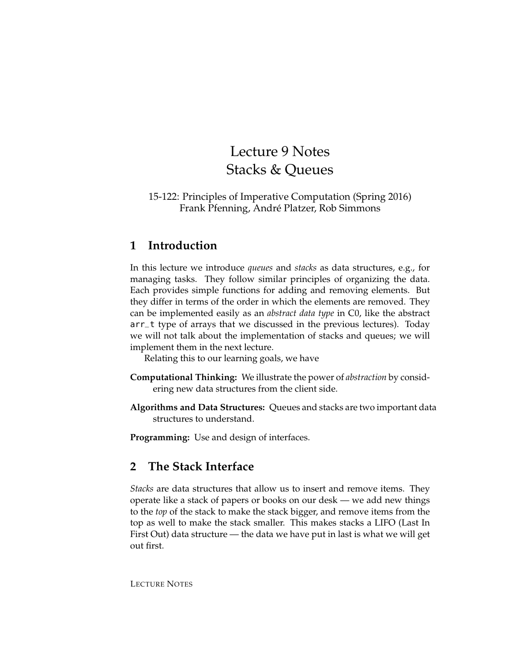# Lecture 9 Notes Stacks & Queues

#### 15-122: Principles of Imperative Computation (Spring 2016) Frank Pfenning, André Platzer, Rob Simmons

# **1 Introduction**

In this lecture we introduce *queues* and *stacks* as data structures, e.g., for managing tasks. They follow similar principles of organizing the data. Each provides simple functions for adding and removing elements. But they differ in terms of the order in which the elements are removed. They can be implemented easily as an *abstract data type* in C0, like the abstract arr\_t type of arrays that we discussed in the previous lectures). Today we will not talk about the implementation of stacks and queues; we will implement them in the next lecture.

Relating this to our learning goals, we have

- **Computational Thinking:** We illustrate the power of *abstraction* by considering new data structures from the client side.
- **Algorithms and Data Structures:** Queues and stacks are two important data structures to understand.

**Programming:** Use and design of interfaces.

# **2 The Stack Interface**

*Stacks* are data structures that allow us to insert and remove items. They operate like a stack of papers or books on our desk — we add new things to the *top* of the stack to make the stack bigger, and remove items from the top as well to make the stack smaller. This makes stacks a LIFO (Last In First Out) data structure — the data we have put in last is what we will get out first.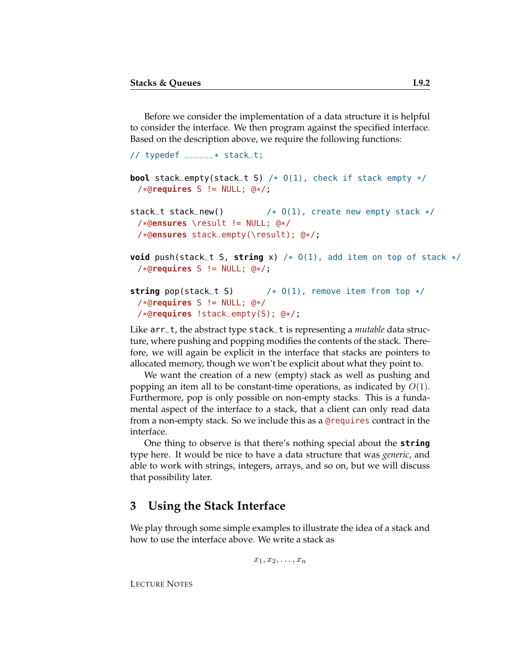Before we consider the implementation of a data structure it is helpful to consider the interface. We then program against the specified interface. Based on the description above, we require the following functions:

```
\frac{1}{2} typedef \frac{1}{2} + stack_t;
```

```
bool stack_empty(stack_t S) /* O(1), check if stack empty */
 /*@requires S != NULL; @*/;
```

```
stack_t stack_new() \longrightarrow (1), create new empty stack *//*@ensures \result != NULL; @*/
 /*@ensures stack_empty(\result); @*/;
```

```
void push(stack_t S, string x) /* O(1), add item on top of stack */
 /*@requires S != NULL; @*/;
```

```
string pop(stack_t S) \rightarrow \rightarrow 0(1), remove item from top \ast/
 /*@requires S != NULL; @*/
 /*@requires !stack_empty(S); @*/;
```
Like arr\_t, the abstract type stack\_t is representing a *mutable* data structure, where pushing and popping modifies the contents of the stack. Therefore, we will again be explicit in the interface that stacks are pointers to allocated memory, though we won't be explicit about what they point to.

We want the creation of a new (empty) stack as well as pushing and popping an item all to be constant-time operations, as indicated by  $O(1)$ . Furthermore, pop is only possible on non-empty stacks. This is a fundamental aspect of the interface to a stack, that a client can only read data from a non-empty stack. So we include this as a @requires contract in the interface.

One thing to observe is that there's nothing special about the **string** type here. It would be nice to have a data structure that was *generic*, and able to work with strings, integers, arrays, and so on, but we will discuss that possibility later.

#### **3 Using the Stack Interface**

We play through some simple examples to illustrate the idea of a stack and how to use the interface above. We write a stack as

```
x_1, x_2, \ldots, x_n
```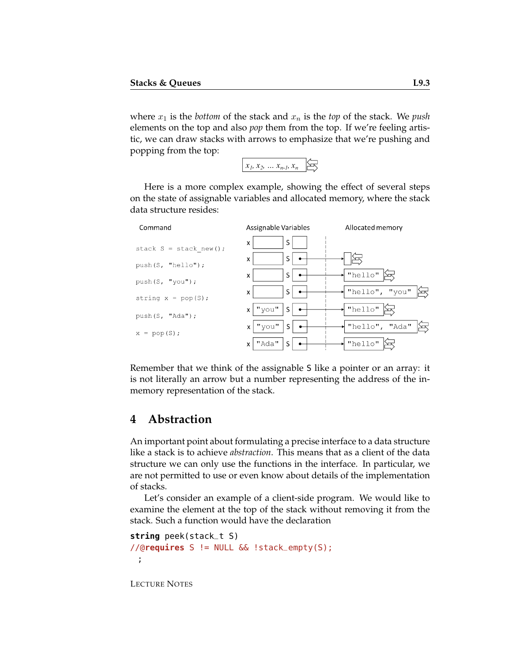where  $x_1$  is the *bottom* of the stack and  $x_n$  is the *top* of the stack. We *push* elements on the top and also *pop* them from the top. If we're feeling artistic, we can draw stacks with arrows to emphasize that we're pushing and popping from the top:

> $x_1, x_2, \ldots x_{n-l}, x_n$ 区

Here is a more complex example, showing the effect of several steps on the state of assignable variables and allocated memory, where the stack data structure resides:



Remember that we think of the assignable S like a pointer or an array: it is not literally an arrow but a number representing the address of the inmemory representation of the stack.

## **4 Abstraction**

An important point about formulating a precise interface to a data structure like a stack is to achieve *abstraction*. This means that as a client of the data structure we can only use the functions in the interface. In particular, we are not permitted to use or even know about details of the implementation of stacks.

Let's consider an example of a client-side program. We would like to examine the element at the top of the stack without removing it from the stack. Such a function would have the declaration

```
string peek(stack_t S)
//@requires S != NULL && !stack_empty(S);
 ;
```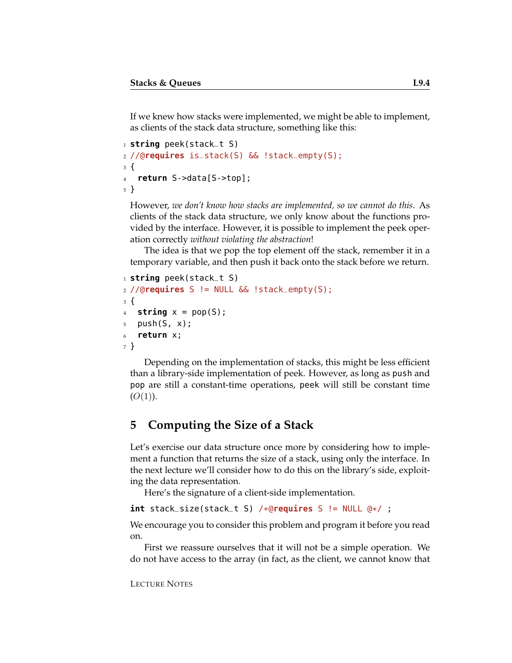If we knew how stacks were implemented, we might be able to implement, as clients of the stack data structure, something like this:

```
1 string peek(stack_t S)
2 //@requires is_stack(S) && !stack_empty(S);
3 {
4 return S->data[S->top];
5 }
```
However, *we don't know how stacks are implemented, so we cannot do this*. As clients of the stack data structure, we only know about the functions provided by the interface. However, it is possible to implement the peek operation correctly *without violating the abstraction*!

The idea is that we pop the top element off the stack, remember it in a temporary variable, and then push it back onto the stack before we return.

```
1 string peek(stack_t S)
2 //@requires S != NULL && !stack_empty(S);
3 {
4 string x = pop(S);
5 push(S, x);
  return x;
7 }
```
Depending on the implementation of stacks, this might be less efficient than a library-side implementation of peek. However, as long as push and pop are still a constant-time operations, peek will still be constant time  $(O(1)).$ 

## **5 Computing the Size of a Stack**

Let's exercise our data structure once more by considering how to implement a function that returns the size of a stack, using only the interface. In the next lecture we'll consider how to do this on the library's side, exploiting the data representation.

Here's the signature of a client-side implementation.

```
int stack_size(stack_t S) /*@requires S != NULL @*/ ;
```
We encourage you to consider this problem and program it before you read on.

First we reassure ourselves that it will not be a simple operation. We do not have access to the array (in fact, as the client, we cannot know that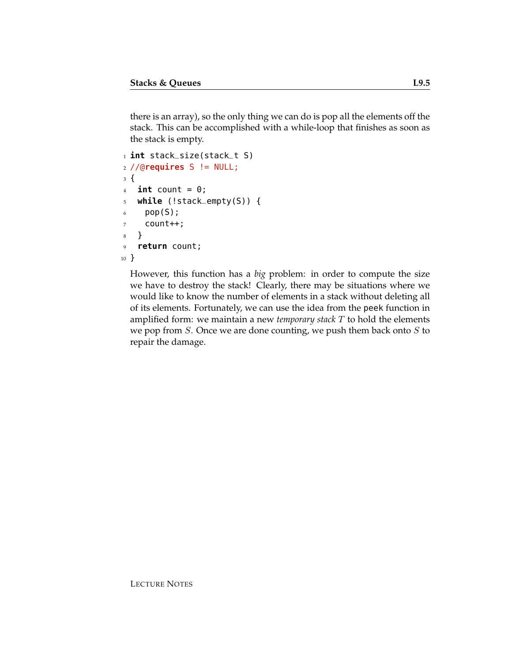there is an array), so the only thing we can do is pop all the elements off the stack. This can be accomplished with a while-loop that finishes as soon as the stack is empty.

```
1 int stack_size(stack_t S)
2 //Qrequires S != NULL;
3 {
4 int count = 0;
5 while (!stack_empty(S)) {
6 pop(S);
7 count++;
8 }
9 return count;
10 }
```
However, this function has a *big* problem: in order to compute the size we have to destroy the stack! Clearly, there may be situations where we would like to know the number of elements in a stack without deleting all of its elements. Fortunately, we can use the idea from the peek function in amplified form: we maintain a new *temporary stack* T to hold the elements we pop from  $S$ . Once we are done counting, we push them back onto  $S$  to repair the damage.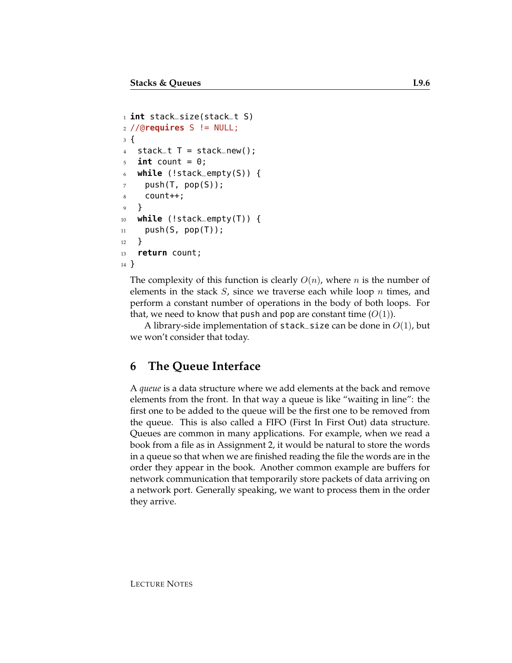```
1 int stack_size(stack_t S)
2 //Qrequires S != NULL;
3 {
4 stack_t T = stack_new();
5 int count = 0;
   while (!stack_empty(S)) {
     push(T, pop(S));\frac{1}{8} count++;
9 }
10 while (!stack_empty(T)) {
11 push(S, pop(T));
12 }
13 return count;
14 }
```
The complexity of this function is clearly  $O(n)$ , where n is the number of elements in the stack  $S$ , since we traverse each while loop  $n$  times, and perform a constant number of operations in the body of both loops. For that, we need to know that push and pop are constant time  $(O(1))$ .

A library-side implementation of stack\_size can be done in  $O(1)$ , but we won't consider that today.

## **6 The Queue Interface**

A *queue* is a data structure where we add elements at the back and remove elements from the front. In that way a queue is like "waiting in line": the first one to be added to the queue will be the first one to be removed from the queue. This is also called a FIFO (First In First Out) data structure. Queues are common in many applications. For example, when we read a book from a file as in Assignment 2, it would be natural to store the words in a queue so that when we are finished reading the file the words are in the order they appear in the book. Another common example are buffers for network communication that temporarily store packets of data arriving on a network port. Generally speaking, we want to process them in the order they arrive.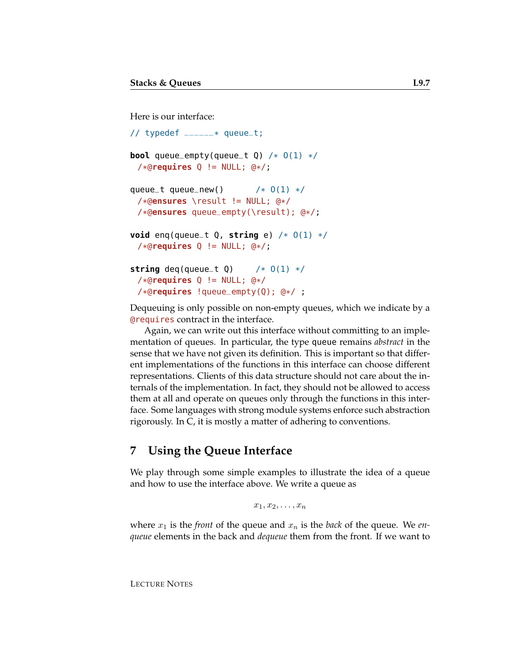Here is our interface:

```
// typedef ______* queue_t;
bool queue_empty(queue_t Q) /* O(1) */
 /*@requires Q != NULL; @*/;
queue_t queue_new() /* 0(1) *//*@ensures \result != NULL; @*/
 /*@ensures queue_empty(\result); @*/;
void enq(queue_t Q, string e) /* O(1) */
 /*@requires Q != NULL; @*/;
string deq(queue_t Q) /* 0(1) */
 /*@requires Q != NULL; @*/
 /*@requires !queue_empty(Q); @*/ ;
```
Dequeuing is only possible on non-empty queues, which we indicate by a @requires contract in the interface.

Again, we can write out this interface without committing to an implementation of queues. In particular, the type queue remains *abstract* in the sense that we have not given its definition. This is important so that different implementations of the functions in this interface can choose different representations. Clients of this data structure should not care about the internals of the implementation. In fact, they should not be allowed to access them at all and operate on queues only through the functions in this interface. Some languages with strong module systems enforce such abstraction rigorously. In C, it is mostly a matter of adhering to conventions.

#### **7 Using the Queue Interface**

We play through some simple examples to illustrate the idea of a queue and how to use the interface above. We write a queue as

 $x_1, x_2, \ldots, x_n$ 

where  $x_1$  is the *front* of the queue and  $x_n$  is the *back* of the queue. We *enqueue* elements in the back and *dequeue* them from the front. If we want to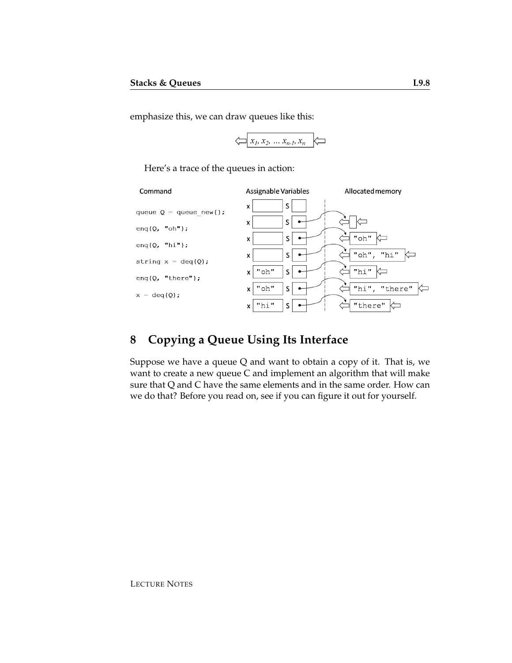emphasize this, we can draw queues like this:



Here's a trace of the queues in action:



## **8 Copying a Queue Using Its Interface**

Suppose we have a queue  $Q$  and want to obtain a copy of it. That is, we want to create a new queue C and implement an algorithm that will make sure that Q and C have the same elements and in the same order. How can we do that? Before you read on, see if you can figure it out for yourself.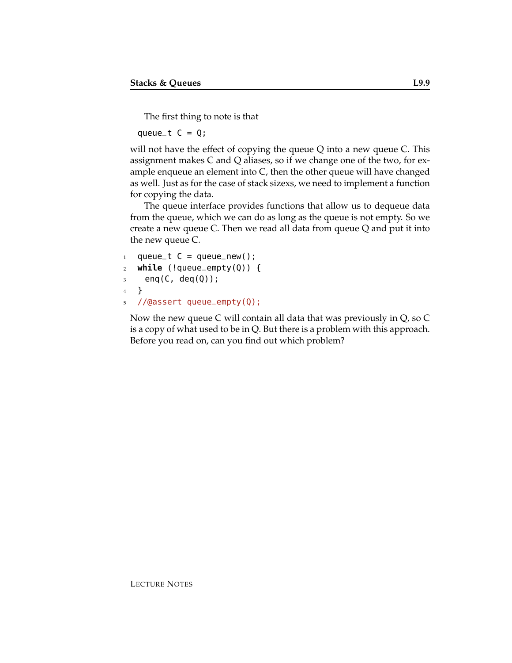The first thing to note is that

```
queue_t C = Q;
```
will not have the effect of copying the queue  $Q$  into a new queue  $C$ . This assignment makes C and Q aliases, so if we change one of the two, for example enqueue an element into C, then the other queue will have changed as well. Just as for the case of stack sizexs, we need to implement a function for copying the data.

The queue interface provides functions that allow us to dequeue data from the queue, which we can do as long as the queue is not empty. So we create a new queue C. Then we read all data from queue Q and put it into the new queue C.

```
1 queue_t C = queue_new();
2 while (!queue_empty(Q)) {
3 enq(C, deq(Q));
4 }
5 //@assert queue_empty(Q);
```
Now the new queue C will contain all data that was previously in Q, so C is a copy of what used to be in Q. But there is a problem with this approach. Before you read on, can you find out which problem?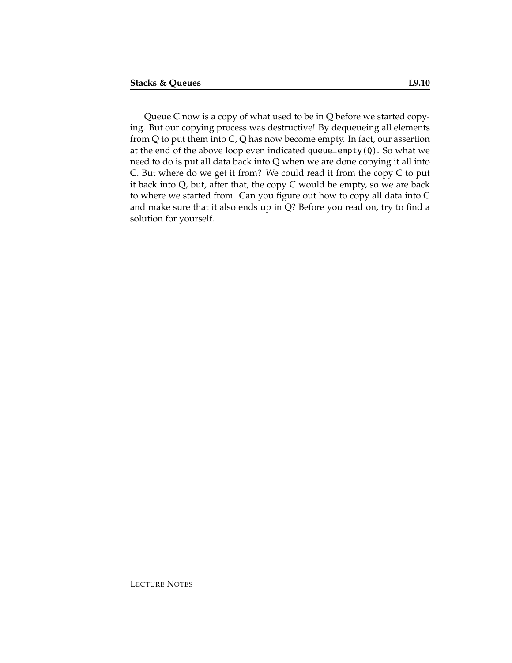Queue C now is a copy of what used to be in Q before we started copying. But our copying process was destructive! By dequeueing all elements from Q to put them into C, Q has now become empty. In fact, our assertion at the end of the above loop even indicated queue\_empty(Q). So what we need to do is put all data back into Q when we are done copying it all into C. But where do we get it from? We could read it from the copy C to put it back into Q, but, after that, the copy C would be empty, so we are back to where we started from. Can you figure out how to copy all data into C and make sure that it also ends up in Q? Before you read on, try to find a solution for yourself.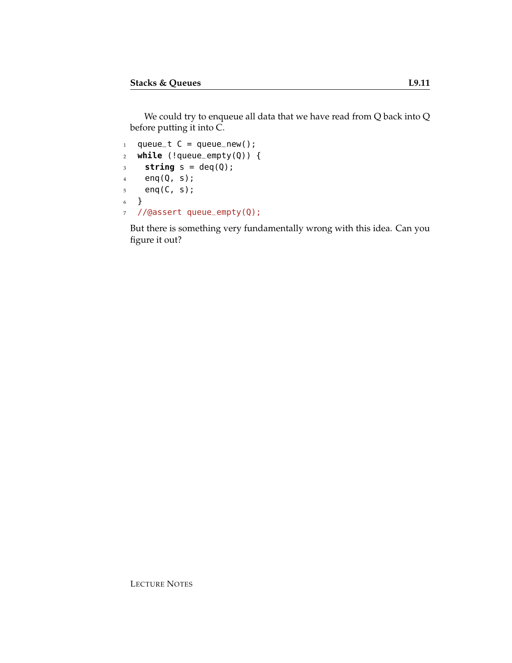We could try to enqueue all data that we have read from Q back into Q before putting it into C.

```
1 queue_t C = queue_new();
2 while (!queue_empty(Q)) {
3 string s = deg(Q);
4 enq(Q, s);
5 enq(C, s);
6 }
7 //@assert queue_empty(Q);
```
But there is something very fundamentally wrong with this idea. Can you figure it out?